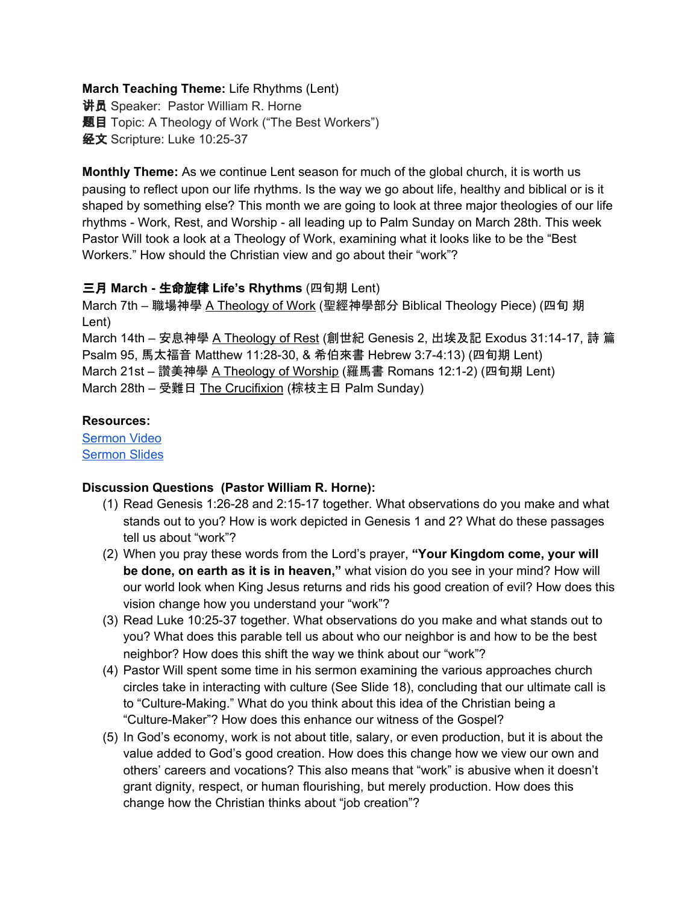## **March Teaching Theme:** Life Rhythms (Lent)

讲员 Speaker: Pastor William R. Horne 题目 Topic: A Theology of Work ("The Best Workers") 经文 Scripture: Luke 10:25-37

**Monthly Theme:** As we continue Lent season for much of the global church, it is worth us pausing to reflect upon our life rhythms. Is the way we go about life, healthy and biblical or is it shaped by something else? This month we are going to look at three major theologies of our life rhythms - Work, Rest, and Worship - all leading up to Palm Sunday on March 28th. This week Pastor Will took a look at a Theology of Work, examining what it looks like to be the "Best Workers." How should the Christian view and go about their "work"?

#### 三月 **March -** 生命旋律 **Life's Rhythms** (四旬期 Lent)

March 7th – 職場神學 A Theology of Work (聖經神學部分 Biblical Theology Piece) (四旬 期 Lent) March 14th – 安息神學 A Theology of Rest (創世紀 Genesis 2, 出埃及記 Exodus 31:14-17, 詩 篇 Psalm 95, 馬太福音 Matthew 11:28-30, & 希伯來書 Hebrew 3:7-4:13) (四旬期 Lent) March 21st – 讚美神學 A Theology of Worship (羅馬書 Romans 12:1-2) (四旬期 Lent) March 28th – 受難日 The Crucifixion (棕枝主日 Palm Sunday)

## **Resources:**

[Sermon](https://www.youtube.com/watch?v=TnaW6XTihWQ) Video [Sermon](http://www.lcccky.org/CellGroup/Meetings/03_07_21%20The%20Best%20Workers.pdf) Slides

#### **Discussion Questions (Pastor William R. Horne):**

- (1) Read Genesis 1:26-28 and 2:15-17 together. What observations do you make and what stands out to you? How is work depicted in Genesis 1 and 2? What do these passages tell us about "work"?
- (2) When you pray these words from the Lord's prayer, **"Your Kingdom come, your will be done, on earth as it is in heaven,"** what vision do you see in your mind? How will our world look when King Jesus returns and rids his good creation of evil? How does this vision change how you understand your "work"?
- (3) Read Luke 10:25-37 together. What observations do you make and what stands out to you? What does this parable tell us about who our neighbor is and how to be the best neighbor? How does this shift the way we think about our "work"?
- (4) Pastor Will spent some time in his sermon examining the various approaches church circles take in interacting with culture (See Slide 18), concluding that our ultimate call is to "Culture-Making." What do you think about this idea of the Christian being a "Culture-Maker"? How does this enhance our witness of the Gospel?
- (5) In God's economy, work is not about title, salary, or even production, but it is about the value added to God's good creation. How does this change how we view our own and others' careers and vocations? This also means that "work" is abusive when it doesn't grant dignity, respect, or human flourishing, but merely production. How does this change how the Christian thinks about "job creation"?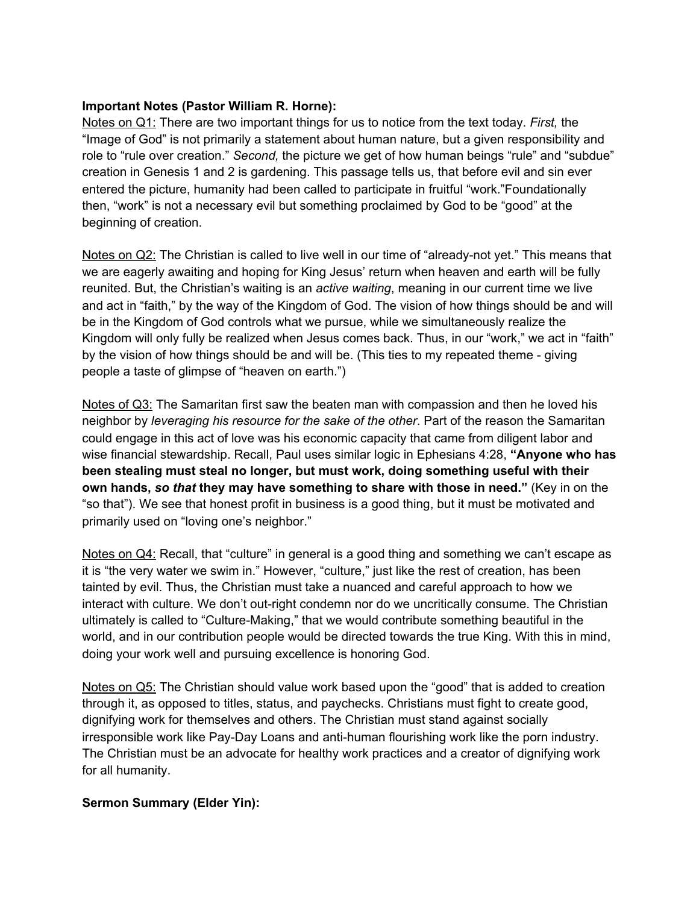## **Important Notes (Pastor William R. Horne):**

Notes on Q1: There are two important things for us to notice from the text today. *First,* the "Image of God" is not primarily a statement about human nature, but a given responsibility and role to "rule over creation." *Second,* the picture we get of how human beings "rule" and "subdue" creation in Genesis 1 and 2 is gardening. This passage tells us, that before evil and sin ever entered the picture, humanity had been called to participate in fruitful "work."Foundationally then, "work" is not a necessary evil but something proclaimed by God to be "good" at the beginning of creation.

Notes on Q2: The Christian is called to live well in our time of "already-not yet." This means that we are eagerly awaiting and hoping for King Jesus' return when heaven and earth will be fully reunited. But, the Christian's waiting is an *active waiting*, meaning in our current time we live and act in "faith," by the way of the Kingdom of God. The vision of how things should be and will be in the Kingdom of God controls what we pursue, while we simultaneously realize the Kingdom will only fully be realized when Jesus comes back. Thus, in our "work," we act in "faith" by the vision of how things should be and will be. (This ties to my repeated theme - giving people a taste of glimpse of "heaven on earth.")

Notes of Q3: The Samaritan first saw the beaten man with compassion and then he loved his neighbor by *leveraging his resource for the sake of the other*. Part of the reason the Samaritan could engage in this act of love was his economic capacity that came from diligent labor and wise financial stewardship. Recall, Paul uses similar logic in Ephesians 4:28, **"Anyone who has been stealing must steal no longer, but must work, doing something useful with their own hands,** *so that* **they may have something to share with those in need."** (Key in on the "so that"). We see that honest profit in business is a good thing, but it must be motivated and primarily used on "loving one's neighbor."

Notes on Q4: Recall, that "culture" in general is a good thing and something we can't escape as it is "the very water we swim in." However, "culture," just like the rest of creation, has been tainted by evil. Thus, the Christian must take a nuanced and careful approach to how we interact with culture. We don't out-right condemn nor do we uncritically consume. The Christian ultimately is called to "Culture-Making," that we would contribute something beautiful in the world, and in our contribution people would be directed towards the true King. With this in mind, doing your work well and pursuing excellence is honoring God.

Notes on Q5: The Christian should value work based upon the "good" that is added to creation through it, as opposed to titles, status, and paychecks. Christians must fight to create good, dignifying work for themselves and others. The Christian must stand against socially irresponsible work like Pay-Day Loans and anti-human flourishing work like the porn industry. The Christian must be an advocate for healthy work practices and a creator of dignifying work for all humanity.

# **Sermon Summary (Elder Yin):**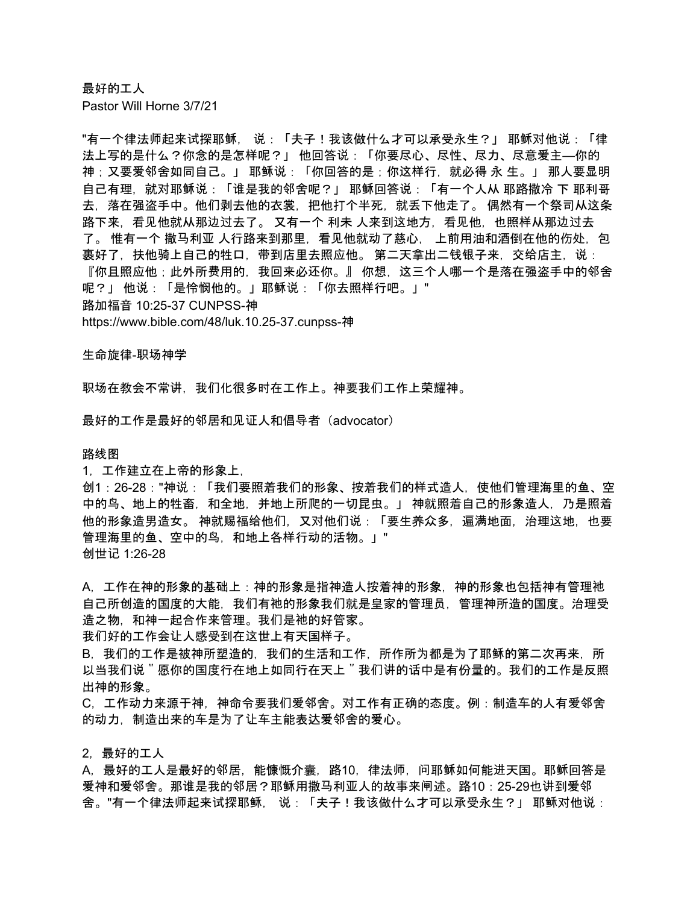最好的工人 Pastor Will Horne 3/7/21

"有一个律法师起来试探耶稣, 说:「夫子!我该做什么才可以承受永生?」 耶稣对他说:「律 法上写的是什么?你念的是怎样呢?」 他回答说:「你要尽心、尽性、尽力、尽意爱主—你的 神;又要爱邻舍如同自己。」 耶稣说:「你回答的是;你这样行,就必得 永 生。」 那人要显明 自己有理,就对耶稣说:「谁是我的邻舍呢?」 耶稣回答说:「有一个人从 耶路撒冷 下 耶利哥 去,落在强盗手中。他们剥去他的衣裳,把他打个半死,就丢下他走了。 偶然有一个祭司从这条 路下来,看见他就从那边过去了。 又有一个 利未 人来到这地方, 看见他, 也照样从那边过去 了。 惟有一个 撒马利亚 人行路来到那里,看见他就动了慈心, 上前用油和酒倒在他的伤处,包 裹好了,扶他骑上自己的牲口,带到店里去照应他。 第二天拿出二钱银子来,交给店主,说: 『你且照应他;此外所费用的,我回来必还你。』 你想,这三个人哪一个是落在强盗手中的邻舍 呢?」 他说:「是怜悯他的。」耶稣说:「你去照样行吧。」" 路加福音 10:25-37 CUNPSS-神

https://www.bible.com/48/luk.10.25-37.cunpss-神

生命旋律-职场神学

职场在教会不常讲,我们化很多时在工作上。神要我们工作上荣耀神。

最好的工作是最好的邻居和见证人和倡导者(advocator)

路线图

1,工作建立在上帝的形象上,

创1:26-28:"神说:「我们要照着我们的形象、按着我们的样式造人,使他们管理海里的鱼、空 中的鸟、地上的牲畜,和全地,并地上所爬的一切昆虫。」 神就照着自己的形象造人,乃是照着 他的形象造男造女。 神就赐福给他们,又对他们说:「要生养众多,遍满地面,治理这地,也要 管理海里的鱼、空中的鸟,和地上各样行动的活物。」" 创世记 1:26-28

A,工作在神的形象的基础上:神的形象是指神造人按着神的形象,神的形象也包括神有管理祂 自己所创造的国度的大能,我们有祂的形象我们就是皇家的管理员,管理神所造的国度。治理受 造之物,和神一起合作来管理。我们是祂的好管家。

我们好的工作会让人感受到在这世上有天国样子。

B, 我们的工作是被神所塑造的, 我们的生活和工作, 所作所为都是为了耶稣的第二次再来, 所 以当我们说"愿你的国度行在地上如同行在天上"我们讲的话中是有份量的。我们的工作是反照 出神的形象。

C,工作动力来源于神,神命令要我们爱邻舍。对工作有正确的态度。例:制造车的人有爱邻舍 的动力,制造出来的车是为了让车主能表达爱邻舍的爱心。

2,最好的工人

A, 最好的工人是最好的邻居, 能慷慨介囊, 路10, 律法师, 问耶稣如何能进天国。耶稣回答是 爱神和爱邻舍。那谁是我的邻居?耶稣用撒马利亚人的故事来闸述。路10:25-29也讲到爱邻 舍。"有一个律法师起来试探耶稣, 说:「夫子!我该做什么才可以承受永生?」 耶稣对他说: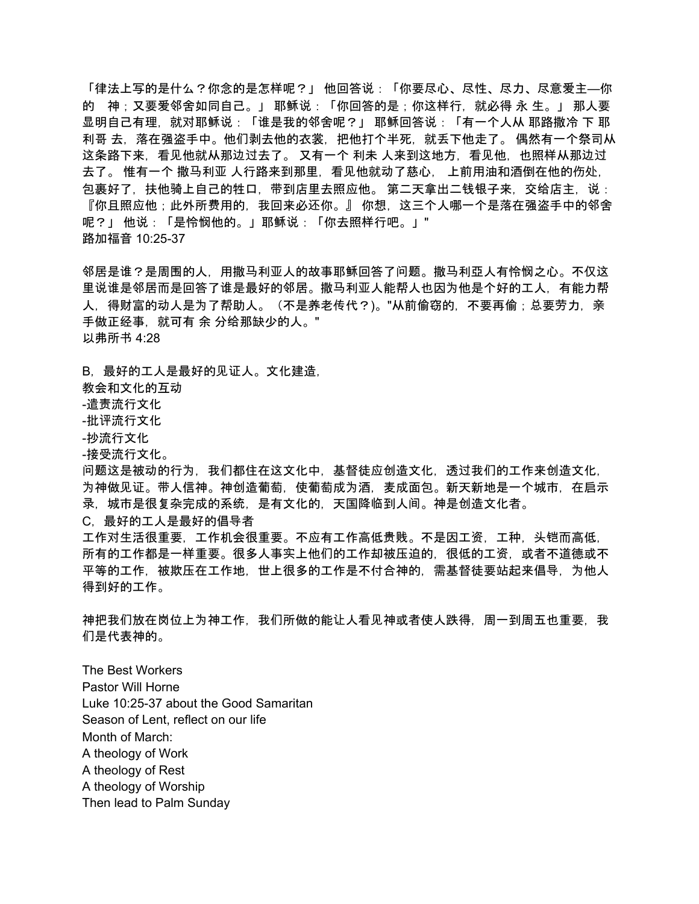「律法上写的是什么?你念的是怎样呢?」 他回答说:「你要尽心、尽性、尽力、尽意爱主—你 的 神;又要爱邻舍如同自己。」 耶稣说:「你回答的是:你这样行,就必得 永 生。」 那人要 显明自己有理,就对耶稣说:「谁是我的邻舍呢?」 耶稣回答说:「有一个人从 耶路撒冷 下 耶 利哥 去,落在强盗手中。他们剥去他的衣裳,把他打个半死,就丢下他走了。 偶然有一个祭司从 这条路下来,看见他就从那边过去了。 又有一个 利未 人来到这地方,看见他,也照样从那边过 去了。 惟有一个 撒马利亚 人行路来到那里,看见他就动了慈心, 上前用油和酒倒在他的伤处, 包裹好了,扶他骑上自己的牲口,带到店里去照应他。第二天拿出二钱银子来,交给店主,说: 『你且照应他;此外所费用的,我回来必还你。』 你想,这三个人哪一个是落在强盗手中的邻舍 呢?」 他说:「是怜悯他的。」耶稣说:「你去照样行吧。」" 路加福音 10:25-37

邻居是谁?是周围的人,用撒马利亚人的故事耶稣回答了问题。撒马利亞人有怜悯之心。不仅这 里说谁是邻居而是回答了谁是最好的邻居。撒马利亚人能帮人也因为他是个好的工人,有能力帮 人,得财富的动人是为了帮助人。(不是养老传代?)。"从前偷窃的,不要再偷;总要劳力,亲 手做正经事,就可有 余 分给那缺少的人。" 以弗所书 4:28

B, 最好的工人是最好的见证人。文化建造,

教会和文化的互动

-遣责流行文化

-批评流行文化

-抄流行文化

-接受流行文化。

问题这是被动的行为,我们都住在这文化中,基督徒应创造文化,透过我们的工作来创造文化, 为神做见证。带人信神。神创造葡萄,使葡萄成为酒,麦成面包。新天新地是一个城市,在启示 录,城市是很复杂完成的系统,是有文化的,天国降临到人间。神是创造文化者。

C,最好的工人是最好的倡导者

工作对生活很重要,工作机会很重要。不应有工作高低贵贱。不是因工资,工种,头铠而高低, 所有的工作都是一样重要。很多人事实上他们的工作却被压迫的,很低的工资,或者不道德或不 平等的工作,被欺压在工作地,世上很多的工作是不付合神的,需基督徒要站起来倡导,为他人 得到好的工作。

神把我们放在岗位上为神工作,我们所做的能让人看见神或者使人跌得,周一到周五也重要,我 们是代表神的。

The Best Workers Pastor Will Horne Luke 10:25-37 about the Good Samaritan Season of Lent, reflect on our life Month of March: A theology of Work A theology of Rest A theology of Worship Then lead to Palm Sunday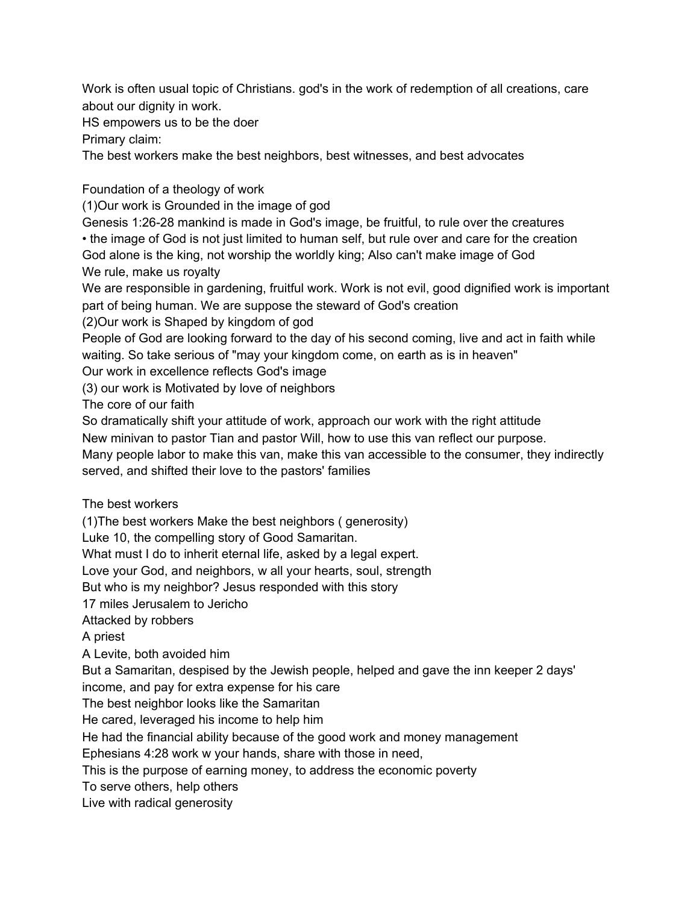Work is often usual topic of Christians. god's in the work of redemption of all creations, care about our dignity in work.

HS empowers us to be the doer

Primary claim:

The best workers make the best neighbors, best witnesses, and best advocates

Foundation of a theology of work

(1)Our work is Grounded in the image of god

Genesis 1:26-28 mankind is made in God's image, be fruitful, to rule over the creatures • the image of God is not just limited to human self, but rule over and care for the creation God alone is the king, not worship the worldly king; Also can't make image of God We rule, make us royalty

We are responsible in gardening, fruitful work. Work is not evil, good dignified work is important part of being human. We are suppose the steward of God's creation

(2)Our work is Shaped by kingdom of god

People of God are looking forward to the day of his second coming, live and act in faith while waiting. So take serious of "may your kingdom come, on earth as is in heaven"

Our work in excellence reflects God's image

(3) our work is Motivated by love of neighbors

The core of our faith

So dramatically shift your attitude of work, approach our work with the right attitude

New minivan to pastor Tian and pastor Will, how to use this van reflect our purpose.

Many people labor to make this van, make this van accessible to the consumer, they indirectly served, and shifted their love to the pastors' families

The best workers

(1)The best workers Make the best neighbors ( generosity)

Luke 10, the compelling story of Good Samaritan.

What must I do to inherit eternal life, asked by a legal expert.

Love your God, and neighbors, w all your hearts, soul, strength

But who is my neighbor? Jesus responded with this story

17 miles Jerusalem to Jericho

Attacked by robbers

A priest

A Levite, both avoided him

But a Samaritan, despised by the Jewish people, helped and gave the inn keeper 2 days'

income, and pay for extra expense for his care

The best neighbor looks like the Samaritan

He cared, leveraged his income to help him

He had the financial ability because of the good work and money management

Ephesians 4:28 work w your hands, share with those in need,

This is the purpose of earning money, to address the economic poverty

To serve others, help others

Live with radical generosity